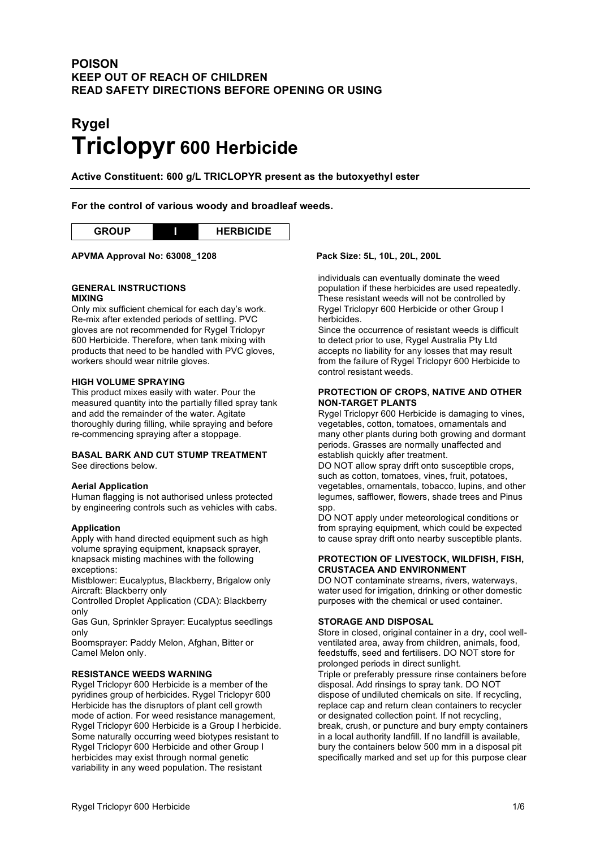# **POISON KEEP OUT OF REACH OF CHILDREN READ SAFETY DIRECTIONS BEFORE OPENING OR USING**

# **Rygel Triclopyr 600 Herbicide**

**Active Constituent: 600 g/L TRICLOPYR present as the butoxyethyl ester**

# **For the control of various woody and broadleaf weeds.**

# **APVMA Approval No: 63008\_1208 Pack Size: 5L, 10L, 20L, 200L**

#### **GENERAL INSTRUCTIONS MIXING**

Only mix sufficient chemical for each day's work. Re-mix after extended periods of settling. PVC gloves are not recommended for Rygel Triclopyr 600 Herbicide. Therefore, when tank mixing with products that need to be handled with PVC gloves, workers should wear nitrile gloves.

#### **HIGH VOLUME SPRAYING**

This product mixes easily with water. Pour the measured quantity into the partially filled spray tank and add the remainder of the water. Agitate thoroughly during filling, while spraying and before re-commencing spraying after a stoppage.

#### **BASAL BARK AND CUT STUMP TREATMENT**

See directions below.

#### **Aerial Application**

Human flagging is not authorised unless protected by engineering controls such as vehicles with cabs.

#### **Application**

Apply with hand directed equipment such as high volume spraying equipment, knapsack sprayer, knapsack misting machines with the following exceptions:

Mistblower: Eucalyptus, Blackberry, Brigalow only Aircraft: Blackberry only

Controlled Droplet Application (CDA): Blackberry only

Gas Gun, Sprinkler Sprayer: Eucalyptus seedlings only

Boomsprayer: Paddy Melon, Afghan, Bitter or Camel Melon only.

#### **RESISTANCE WEEDS WARNING**

Rygel Triclopyr 600 Herbicide is a member of the pyridines group of herbicides. Rygel Triclopyr 600 Herbicide has the disruptors of plant cell growth mode of action. For weed resistance management, Rygel Triclopyr 600 Herbicide is a Group I herbicide. Some naturally occurring weed biotypes resistant to Rygel Triclopyr 600 Herbicide and other Group I herbicides may exist through normal genetic variability in any weed population. The resistant

individuals can eventually dominate the weed population if these herbicides are used repeatedly. These resistant weeds will not be controlled by Rygel Triclopyr 600 Herbicide or other Group I herbicides.

Since the occurrence of resistant weeds is difficult to detect prior to use, Rygel Australia Pty Ltd accepts no liability for any losses that may result from the failure of Rygel Triclopyr 600 Herbicide to control resistant weeds.

#### **PROTECTION OF CROPS, NATIVE AND OTHER NON-TARGET PLANTS**

Rygel Triclopyr 600 Herbicide is damaging to vines, vegetables, cotton, tomatoes, ornamentals and many other plants during both growing and dormant periods. Grasses are normally unaffected and establish quickly after treatment.

DO NOT allow spray drift onto susceptible crops, such as cotton, tomatoes, vines, fruit, potatoes, vegetables, ornamentals, tobacco, lupins, and other legumes, safflower, flowers, shade trees and Pinus spp.

DO NOT apply under meteorological conditions or from spraying equipment, which could be expected to cause spray drift onto nearby susceptible plants.

#### **PROTECTION OF LIVESTOCK, WILDFISH, FISH, CRUSTACEA AND ENVIRONMENT**

DO NOT contaminate streams, rivers, waterways, water used for irrigation, drinking or other domestic purposes with the chemical or used container.

### **STORAGE AND DISPOSAL**

Store in closed, original container in a dry, cool wellventilated area, away from children, animals, food, feedstuffs, seed and fertilisers. DO NOT store for prolonged periods in direct sunlight.

Triple or preferably pressure rinse containers before disposal. Add rinsings to spray tank. DO NOT dispose of undiluted chemicals on site. If recycling, replace cap and return clean containers to recycler or designated collection point. If not recycling, break, crush, or puncture and bury empty containers in a local authority landfill. If no landfill is available, bury the containers below 500 mm in a disposal pit specifically marked and set up for this purpose clear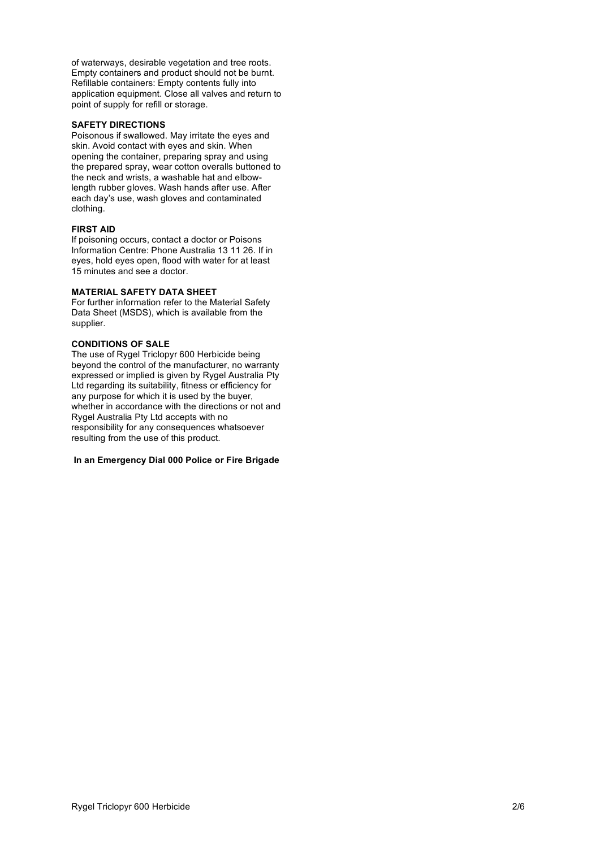of waterways, desirable vegetation and tree roots. Empty containers and product should not be burnt. Refillable containers: Empty contents fully into application equipment. Close all valves and return to point of supply for refill or storage.

#### **SAFETY DIRECTIONS**

Poisonous if swallowed. May irritate the eyes and skin. Avoid contact with eyes and skin. When opening the container, preparing spray and using the prepared spray, wear cotton overalls buttoned to the neck and wrists, a washable hat and elbowlength rubber gloves. Wash hands after use. After each day's use, wash gloves and contaminated clothing.

#### **FIRST AID**

If poisoning occurs, contact a doctor or Poisons Information Centre: Phone Australia 13 11 26. If in eyes, hold eyes open, flood with water for at least 15 minutes and see a doctor.

#### **MATERIAL SAFETY DATA SHEET**

For further information refer to the Material Safety Data Sheet (MSDS), which is available from the supplier.

#### **CONDITIONS OF SALE**

The use of Rygel Triclopyr 600 Herbicide being beyond the control of the manufacturer, no warranty expressed or implied is given by Rygel Australia Pty Ltd regarding its suitability, fitness or efficiency for any purpose for which it is used by the buyer, whether in accordance with the directions or not and Rygel Australia Pty Ltd accepts with no responsibility for any consequences whatsoever resulting from the use of this product.

#### **In an Emergency Dial 000 Police or Fire Brigade**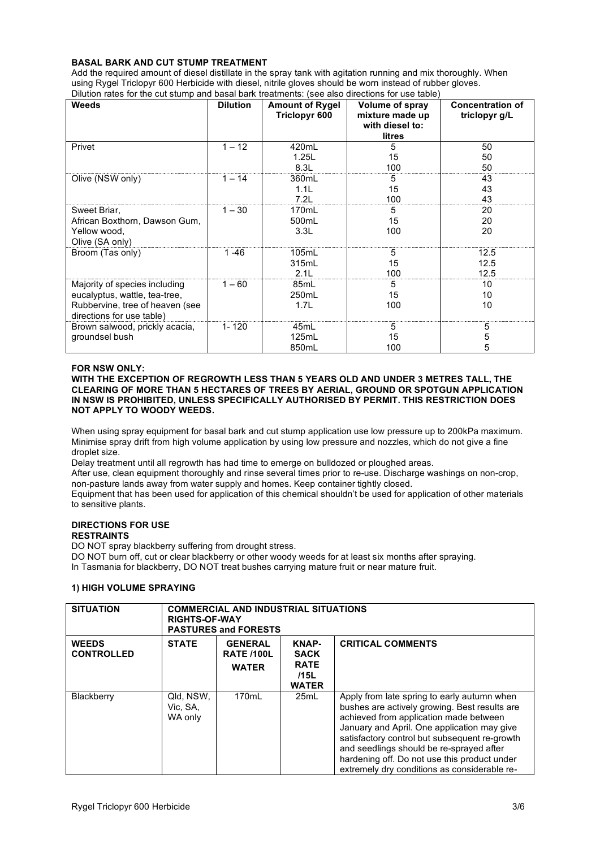### **BASAL BARK AND CUT STUMP TREATMENT**

Add the required amount of diesel distillate in the spray tank with agitation running and mix thoroughly. When using Rygel Triclopyr 600 Herbicide with diesel, nitrile gloves should be worn instead of rubber gloves. Dilution rates for the cut stump and basal bark treatments: (see also directions for use table)

| Weeds                           | <b>Dilution</b> | <b>Amount of Rygel</b> | Volume of spray | <b>Concentration of</b> |
|---------------------------------|-----------------|------------------------|-----------------|-------------------------|
|                                 |                 | Triclopyr 600          | mixture made up | triclopyr g/L           |
|                                 |                 |                        | with diesel to: |                         |
|                                 |                 |                        |                 |                         |
|                                 |                 |                        | litres          |                         |
| Privet                          | $1 - 12$        | 420mL                  | 5               | 50                      |
|                                 |                 | 1.25L                  | 15              | 50                      |
|                                 |                 | 8.3L                   | 100             | 50                      |
| Olive (NSW only)                | $1 - 14$        | 360mL                  | 5               | 43                      |
|                                 |                 | 1.1L                   | 15              | 43                      |
|                                 |                 | 7.2L                   | 100             | 43                      |
| Sweet Briar,                    | $1 - 30$        | 170mL                  | 5               | 20                      |
| African Boxthorn, Dawson Gum,   |                 | 500mL                  | 15              | 20                      |
| Yellow wood,                    |                 | 3.3L                   | 100             | 20                      |
| Olive (SA only)                 |                 |                        |                 |                         |
| Broom (Tas only)                | 1 -46           | 105mL                  | 5               | 12.5                    |
|                                 |                 | 315mL                  | 15              | 12.5                    |
|                                 |                 | 2.1L                   | 100             | 12.5                    |
| Majority of species including   | $1 - 60$        | 85mL                   | 5               | 10                      |
| eucalyptus, wattle, tea-tree,   |                 | 250mL                  | 15              | 10                      |
| Rubbervine, tree of heaven (see |                 | 1.7L                   | 100             | 10                      |
| directions for use table)       |                 |                        |                 |                         |
| Brown salwood, prickly acacia,  | $1 - 120$       | 45mL                   | 5               | 5                       |
| groundsel bush                  |                 | 125mL                  | 15              | 5                       |
|                                 |                 | 850mL                  | 100             | 5                       |

#### **FOR NSW ONLY:**

#### **WITH THE EXCEPTION OF REGROWTH LESS THAN 5 YEARS OLD AND UNDER 3 METRES TALL, THE CLEARING OF MORE THAN 5 HECTARES OF TREES BY AERIAL, GROUND OR SPOTGUN APPLICATION IN NSW IS PROHIBITED, UNLESS SPECIFICALLY AUTHORISED BY PERMIT. THIS RESTRICTION DOES NOT APPLY TO WOODY WEEDS.**

When using spray equipment for basal bark and cut stump application use low pressure up to 200kPa maximum. Minimise spray drift from high volume application by using low pressure and nozzles, which do not give a fine droplet size.

Delay treatment until all regrowth has had time to emerge on bulldozed or ploughed areas.

After use, clean equipment thoroughly and rinse several times prior to re-use. Discharge washings on non-crop, non-pasture lands away from water supply and homes. Keep container tightly closed.

Equipment that has been used for application of this chemical shouldn't be used for application of other materials to sensitive plants.

# **DIRECTIONS FOR USE**

# **RESTRAINTS**

DO NOT spray blackberry suffering from drought stress.

DO NOT burn off, cut or clear blackberry or other woody weeds for at least six months after spraying.

In Tasmania for blackberry, DO NOT treat bushes carrying mature fruit or near mature fruit.

# **1) HIGH VOLUME SPRAYING**

| <b>SITUATION</b>                  | <b>COMMERCIAL AND INDUSTRIAL SITUATIONS</b><br><b>RIGHTS-OF-WAY</b><br><b>PASTURES and FORESTS</b> |                                                     |                                                             |                                                                                                                                                                                                                                                                                                                                                                                    |
|-----------------------------------|----------------------------------------------------------------------------------------------------|-----------------------------------------------------|-------------------------------------------------------------|------------------------------------------------------------------------------------------------------------------------------------------------------------------------------------------------------------------------------------------------------------------------------------------------------------------------------------------------------------------------------------|
| <b>WEEDS</b><br><b>CONTROLLED</b> | <b>STATE</b>                                                                                       | <b>GENERAL</b><br><b>RATE /100L</b><br><b>WATER</b> | KNAP-<br><b>SACK</b><br><b>RATE</b><br>/15L<br><b>WATER</b> | <b>CRITICAL COMMENTS</b>                                                                                                                                                                                                                                                                                                                                                           |
| Blackberry                        | Qld, NSW,<br>Vic. SA.<br>WA only                                                                   | 170mL                                               | 25mL                                                        | Apply from late spring to early autumn when<br>bushes are actively growing. Best results are<br>achieved from application made between<br>January and April. One application may give<br>satisfactory control but subsequent re-growth<br>and seedlings should be re-sprayed after<br>hardening off. Do not use this product under<br>extremely dry conditions as considerable re- |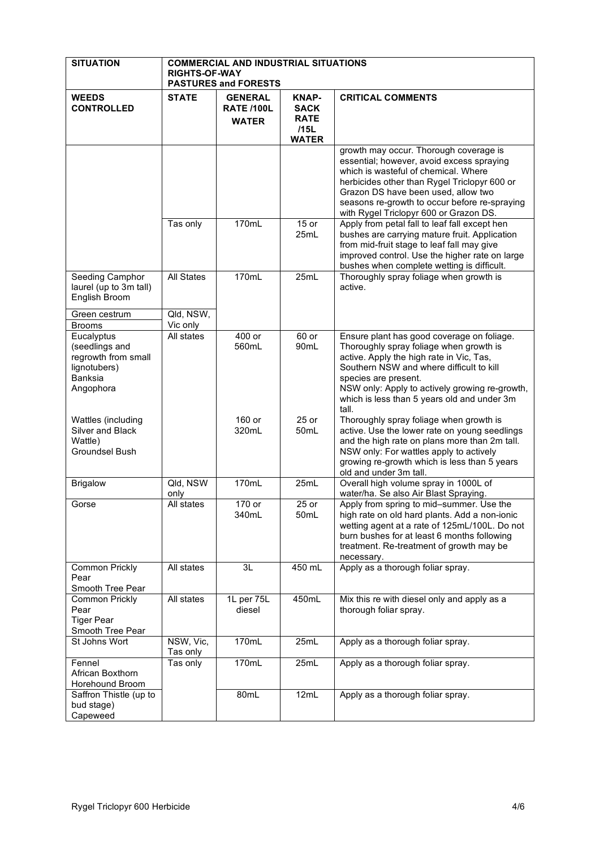| <b>SITUATION</b>                                                                            | <b>COMMERCIAL AND INDUSTRIAL SITUATIONS</b><br><b>RIGHTS-OF-WAY</b><br><b>PASTURES and FORESTS</b> |                                                     |                                                                    |                                                                                                                                                                                                                                                                                                                 |
|---------------------------------------------------------------------------------------------|----------------------------------------------------------------------------------------------------|-----------------------------------------------------|--------------------------------------------------------------------|-----------------------------------------------------------------------------------------------------------------------------------------------------------------------------------------------------------------------------------------------------------------------------------------------------------------|
| <b>WEEDS</b><br><b>CONTROLLED</b>                                                           | <b>STATE</b>                                                                                       | <b>GENERAL</b><br><b>RATE /100L</b><br><b>WATER</b> | <b>KNAP-</b><br><b>SACK</b><br><b>RATE</b><br>/15L<br><b>WATER</b> | <b>CRITICAL COMMENTS</b>                                                                                                                                                                                                                                                                                        |
|                                                                                             |                                                                                                    |                                                     |                                                                    | growth may occur. Thorough coverage is<br>essential; however, avoid excess spraying<br>which is wasteful of chemical. Where<br>herbicides other than Rygel Triclopyr 600 or<br>Grazon DS have been used, allow two<br>seasons re-growth to occur before re-spraying<br>with Rygel Triclopyr 600 or Grazon DS.   |
|                                                                                             | Tas only                                                                                           | 170mL                                               | $15$ or<br>25mL                                                    | Apply from petal fall to leaf fall except hen<br>bushes are carrying mature fruit. Application<br>from mid-fruit stage to leaf fall may give<br>improved control. Use the higher rate on large<br>bushes when complete wetting is difficult.                                                                    |
| Seeding Camphor<br>laurel (up to 3m tall)<br>English Broom                                  | <b>All States</b>                                                                                  | 170mL                                               | 25mL                                                               | Thoroughly spray foliage when growth is<br>active.                                                                                                                                                                                                                                                              |
| Green cestrum<br><b>Brooms</b>                                                              | Qld, NSW,<br>Vic only                                                                              |                                                     |                                                                    |                                                                                                                                                                                                                                                                                                                 |
| Eucalyptus<br>(seedlings and<br>regrowth from small<br>lignotubers)<br>Banksia<br>Angophora | All states                                                                                         | 400 or<br>560mL                                     | $60$ or<br>90mL                                                    | Ensure plant has good coverage on foliage.<br>Thoroughly spray foliage when growth is<br>active. Apply the high rate in Vic, Tas,<br>Southern NSW and where difficult to kill<br>species are present.<br>NSW only: Apply to actively growing re-growth,<br>which is less than 5 years old and under 3m<br>tall. |
| Wattles (including<br>Silver and Black<br>Wattle)<br>Groundsel Bush                         |                                                                                                    | 160 or<br>320mL                                     | $25$ or<br>50 <sub>mL</sub>                                        | Thoroughly spray foliage when growth is<br>active. Use the lower rate on young seedlings<br>and the high rate on plans more than 2m tall.<br>NSW only: For wattles apply to actively<br>growing re-growth which is less than 5 years<br>old and under 3m tall.                                                  |
| <b>Brigalow</b>                                                                             | QId, NSW<br>only                                                                                   | 170mL                                               | 25mL                                                               | Overall high volume spray in 1000L of<br>water/ha. Se also Air Blast Spraying.                                                                                                                                                                                                                                  |
| Gorse                                                                                       | All states                                                                                         | 170 or<br>340mL                                     | 25 or<br>50mL                                                      | Apply from spring to mid-summer. Use the<br>high rate on old hard plants. Add a non-ionic<br>wetting agent at a rate of 125mL/100L. Do not<br>burn bushes for at least 6 months following<br>treatment. Re-treatment of growth may be<br>necessary.                                                             |
| Common Prickly<br>Pear<br>Smooth Tree Pear                                                  | All states                                                                                         | 3L                                                  | 450 mL                                                             | Apply as a thorough foliar spray.                                                                                                                                                                                                                                                                               |
| <b>Common Prickly</b><br>Pear<br><b>Tiger Pear</b><br>Smooth Tree Pear                      | All states                                                                                         | 1L per 75L<br>diesel                                | 450mL                                                              | Mix this re with diesel only and apply as a<br>thorough foliar spray.                                                                                                                                                                                                                                           |
| St Johns Wort                                                                               | NSW, Vic,<br>Tas only                                                                              | 170mL                                               | 25mL                                                               | Apply as a thorough foliar spray.                                                                                                                                                                                                                                                                               |
| Fennel<br>African Boxthorn<br>Horehound Broom                                               | Tas only                                                                                           | 170mL                                               | 25mL                                                               | Apply as a thorough foliar spray.                                                                                                                                                                                                                                                                               |
| Saffron Thistle (up to<br>bud stage)<br>Capeweed                                            |                                                                                                    | 80mL                                                | 12mL                                                               | Apply as a thorough foliar spray.                                                                                                                                                                                                                                                                               |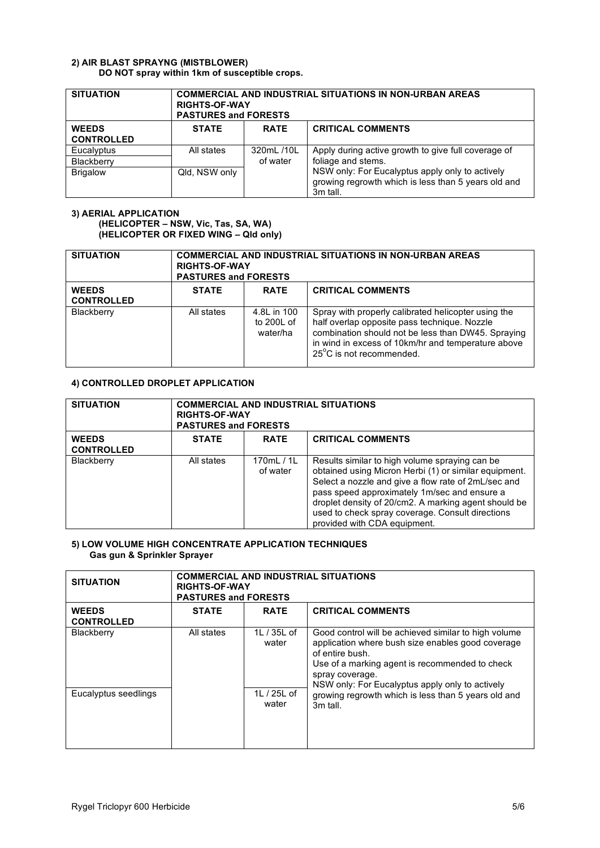# **2) AIR BLAST SPRAYNG (MISTBLOWER) DO NOT spray within 1km of susceptible crops.**

| <b>SITUATION</b>                  | <b>COMMERCIAL AND INDUSTRIAL SITUATIONS IN NON-URBAN AREAS</b><br><b>RIGHTS-OF-WAY</b><br><b>PASTURES and FORESTS</b> |                        |                                                                                                                    |  |
|-----------------------------------|-----------------------------------------------------------------------------------------------------------------------|------------------------|--------------------------------------------------------------------------------------------------------------------|--|
| <b>WEEDS</b><br><b>CONTROLLED</b> | <b>STATE</b>                                                                                                          | <b>RATE</b>            | <b>CRITICAL COMMENTS</b>                                                                                           |  |
| Eucalyptus<br>Blackberry          | All states                                                                                                            | 320mL /10L<br>of water | Apply during active growth to give full coverage of<br>foliage and stems.                                          |  |
| <b>Brigalow</b>                   | Qld. NSW only                                                                                                         |                        | NSW only: For Eucalyptus apply only to actively<br>growing regrowth which is less than 5 years old and<br>3m tall. |  |

# **3) AERIAL APPLICATION (HELICOPTER – NSW, Vic, Tas, SA, WA) (HELICOPTER OR FIXED WING – Qld only)**

| <b>SITUATION</b>                  | <b>COMMERCIAL AND INDUSTRIAL SITUATIONS IN NON-URBAN AREAS</b><br><b>RIGHTS-OF-WAY</b><br><b>PASTURES and FORESTS</b> |                                       |                                                                                                                                                                                                                                             |
|-----------------------------------|-----------------------------------------------------------------------------------------------------------------------|---------------------------------------|---------------------------------------------------------------------------------------------------------------------------------------------------------------------------------------------------------------------------------------------|
| <b>WEEDS</b><br><b>CONTROLLED</b> | <b>STATE</b>                                                                                                          | <b>RATE</b>                           | <b>CRITICAL COMMENTS</b>                                                                                                                                                                                                                    |
| Blackberry                        | All states                                                                                                            | 4.8L in 100<br>to 200L of<br>water/ha | Spray with properly calibrated helicopter using the<br>half overlap opposite pass technique. Nozzle<br>combination should not be less than DW45. Spraying<br>in wind in excess of 10km/hr and temperature above<br>25°C is not recommended. |

# **4) CONTROLLED DROPLET APPLICATION**

| <b>SITUATION</b>                  | <b>COMMERCIAL AND INDUSTRIAL SITUATIONS</b><br><b>RIGHTS-OF-WAY</b><br><b>PASTURES and FORESTS</b> |                        |                                                                                                                                                                                                                                                                                                                                                            |
|-----------------------------------|----------------------------------------------------------------------------------------------------|------------------------|------------------------------------------------------------------------------------------------------------------------------------------------------------------------------------------------------------------------------------------------------------------------------------------------------------------------------------------------------------|
| <b>WEEDS</b><br><b>CONTROLLED</b> | <b>STATE</b>                                                                                       | <b>RATE</b>            | <b>CRITICAL COMMENTS</b>                                                                                                                                                                                                                                                                                                                                   |
| Blackberry                        | All states                                                                                         | 170mL / 1L<br>of water | Results similar to high volume spraying can be<br>obtained using Micron Herbi (1) or similar equipment.<br>Select a nozzle and give a flow rate of 2mL/sec and<br>pass speed approximately 1m/sec and ensure a<br>droplet density of 20/cm2. A marking agent should be<br>used to check spray coverage. Consult directions<br>provided with CDA equipment. |

# **5) LOW VOLUME HIGH CONCENTRATE APPLICATION TECHNIQUES Gas gun & Sprinkler Sprayer**

| <b>SITUATION</b>                  | <b>COMMERCIAL AND INDUSTRIAL SITUATIONS</b><br><b>RIGHTS-OF-WAY</b><br><b>PASTURES and FORESTS</b> |                      |                                                                                                                                                                                                                                                      |
|-----------------------------------|----------------------------------------------------------------------------------------------------|----------------------|------------------------------------------------------------------------------------------------------------------------------------------------------------------------------------------------------------------------------------------------------|
| <b>WEEDS</b><br><b>CONTROLLED</b> | <b>STATE</b>                                                                                       | <b>RATE</b>          | <b>CRITICAL COMMENTS</b>                                                                                                                                                                                                                             |
| Blackberry                        | All states                                                                                         | 1L / 35L of<br>water | Good control will be achieved similar to high volume<br>application where bush size enables good coverage<br>of entire bush.<br>Use of a marking agent is recommended to check<br>spray coverage.<br>NSW only: For Eucalyptus apply only to actively |
| Eucalyptus seedlings              |                                                                                                    | 1L / 25L of<br>water | growing regrowth which is less than 5 years old and<br>3m tall.                                                                                                                                                                                      |